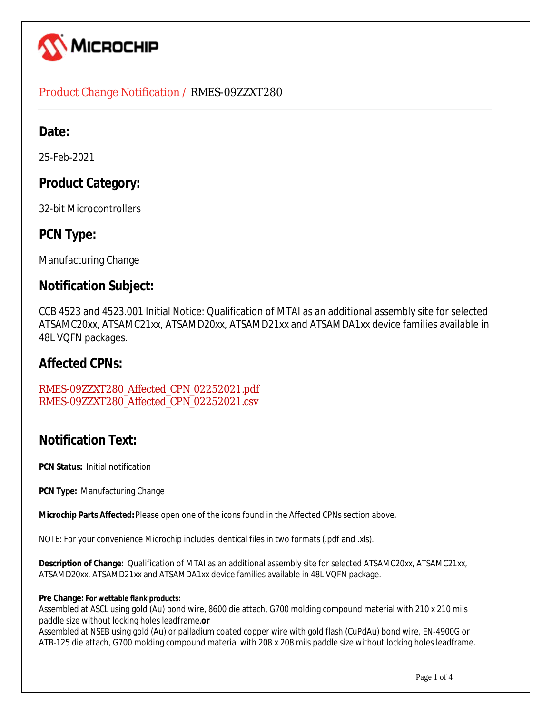

### Product Change Notification / RMES-09ZZXT280

## **Date:**

25-Feb-2021

## **Product Category:**

32-bit Microcontrollers

## **PCN Type:**

Manufacturing Change

## **Notification Subject:**

CCB 4523 and 4523.001 Initial Notice: Qualification of MTAI as an additional assembly site for selected ATSAMC20xx, ATSAMC21xx, ATSAMD20xx, ATSAMD21xx and ATSAMDA1xx device families available in 48L VQFN packages.

## **Affected CPNs:**

[RMES-09ZZXT280\\_Affected\\_CPN\\_02252021.pdf](https://www.microchip.com/mymicrochipapi/api/pcn/DownloadPcnDocument?pcnId=15367&affectedcpns=pdf) [RMES-09ZZXT280\\_Affected\\_CPN\\_02252021.csv](https://www.microchip.com/mymicrochipapi/api/pcn/DownloadPcnDocument?pcnId=15367&affectedcpns=xls)

## **Notification Text:**

**PCN Status:** Initial notification

**PCN Type:** Manufacturing Change

**Microchip Parts Affected:** Please open one of the icons found in the Affected CPNs section above.

NOTE: For your convenience Microchip includes identical files in two formats (.pdf and .xls).

**Description of Change:** Qualification of MTAI as an additional assembly site for selected ATSAMC20xx, ATSAMC21xx, ATSAMD20xx, ATSAMD21xx and ATSAMDA1xx device families available in 48L VQFN package.

#### **Pre Change:** *For wettable flank products:*

Assembled at ASCL using gold (Au) bond wire, 8600 die attach, G700 molding compound material with 210 x 210 mils paddle size without locking holes leadframe.**or**

Assembled at NSEB using gold (Au) or palladium coated copper wire with gold flash (CuPdAu) bond wire, EN-4900G or ATB-125 die attach, G700 molding compound material with 208 x 208 mils paddle size without locking holes leadframe.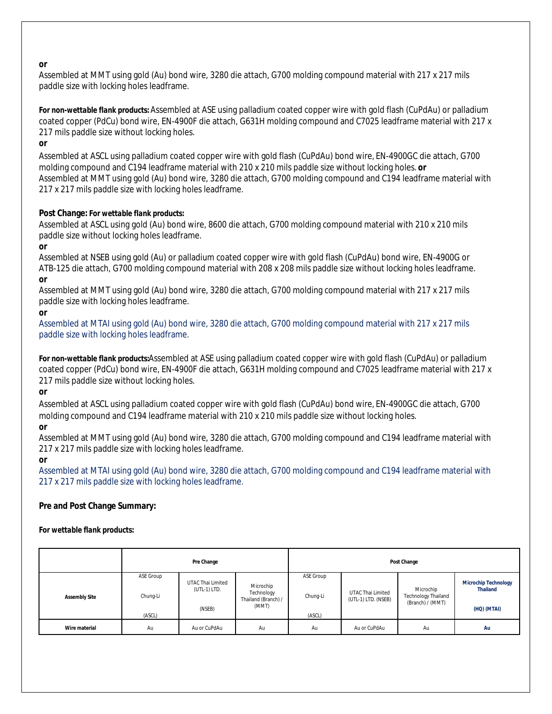#### **or**

Assembled at MMT using gold (Au) bond wire, 3280 die attach, G700 molding compound material with 217 x 217 mils paddle size with locking holes leadframe.

*For non-wettable flank products:* Assembled at ASE using palladium coated copper wire with gold flash (CuPdAu) or palladium coated copper (PdCu) bond wire, EN-4900F die attach, G631H molding compound and C7025 leadframe material with 217 x 217 mils paddle size without locking holes.

**or**

Assembled at ASCL using palladium coated copper wire with gold flash (CuPdAu) bond wire, EN-4900GC die attach, G700 molding compound and C194 leadframe material with 210 x 210 mils paddle size without locking holes. **or** Assembled at MMT using gold (Au) bond wire, 3280 die attach, G700 molding compound and C194 leadframe material with 217 x 217 mils paddle size with locking holes leadframe.

#### **Post Change:** *For wettable flank products:*

Assembled at ASCL using gold (Au) bond wire, 8600 die attach, G700 molding compound material with 210 x 210 mils paddle size without locking holes leadframe.

**or**

Assembled at NSEB using gold (Au) or palladium coated copper wire with gold flash (CuPdAu) bond wire, EN-4900G or ATB-125 die attach, G700 molding compound material with 208 x 208 mils paddle size without locking holes leadframe. **or**

Assembled at MMT using gold (Au) bond wire, 3280 die attach, G700 molding compound material with 217 x 217 mils paddle size with locking holes leadframe.

**or**

Assembled at MTAI using gold (Au) bond wire, 3280 die attach, G700 molding compound material with 217 x 217 mils paddle size with locking holes leadframe.

*For non-wettable flank products:*Assembled at ASE using palladium coated copper wire with gold flash (CuPdAu) or palladium coated copper (PdCu) bond wire, EN-4900F die attach, G631H molding compound and C7025 leadframe material with 217 x 217 mils paddle size without locking holes.

**or**

Assembled at ASCL using palladium coated copper wire with gold flash (CuPdAu) bond wire, EN-4900GC die attach, G700 molding compound and C194 leadframe material with 210 x 210 mils paddle size without locking holes.

**or**

Assembled at MMT using gold (Au) bond wire, 3280 die attach, G700 molding compound and C194 leadframe material with 217 x 217 mils paddle size with locking holes leadframe.

**or**

Assembled at MTAI using gold (Au) bond wire, 3280 die attach, G700 molding compound and C194 leadframe material with 217 x 217 mils paddle size with locking holes leadframe.

#### **Pre and Post Change Summary:**

*For wettable flank products:*

|                      |           | Pre Change                        |                                                | Post Change |                                          |                                  |                                                |  |  |  |  |
|----------------------|-----------|-----------------------------------|------------------------------------------------|-------------|------------------------------------------|----------------------------------|------------------------------------------------|--|--|--|--|
|                      | ASE Group |                                   |                                                | ASE Group   |                                          |                                  |                                                |  |  |  |  |
| <b>Assembly Site</b> | Chung-Li  | UTAC Thai Limited<br>(UTL-1) LTD. | Microchip<br>Technology<br>Thailand (Branch) / | Chung-Li    | UTAC Thai Limited<br>(UTL-1) LTD. (NSEB) | Microchip<br>Technology Thailand | <b>Microchip Technology</b><br><b>Thailand</b> |  |  |  |  |
|                      | (ASCL)    | (NSEB)                            | (MMT)                                          | (ASCL)      |                                          | (Branch) / (MMT)                 | (HQ) (MTAI)                                    |  |  |  |  |
| Wire material        | Au        | Au or CuPdAu                      | Au                                             | Au          | Au or CuPdAu                             | Au                               | Au                                             |  |  |  |  |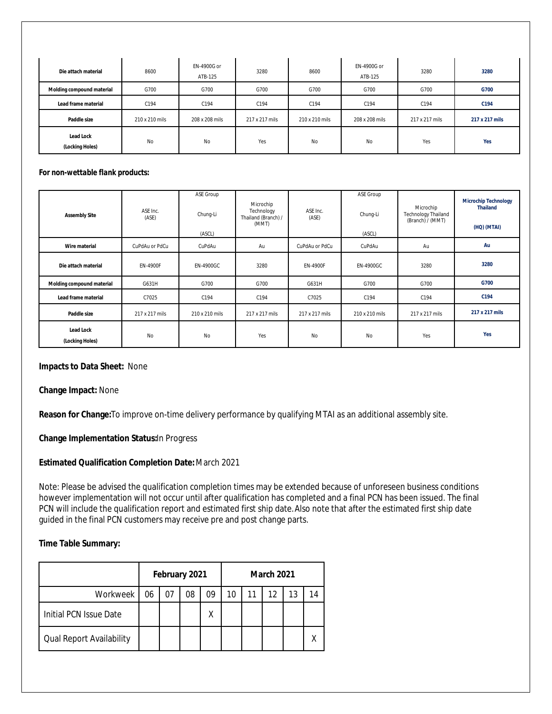| Die attach material                 | 8600           | EN-4900G or<br>ATB-125 | EN-4900G or<br>3280<br>8600<br>3280<br>ATB-125 |                |                | 3280           |                |
|-------------------------------------|----------------|------------------------|------------------------------------------------|----------------|----------------|----------------|----------------|
| Molding compound material           | G700           | G700                   | G700                                           | G700<br>G700   |                | G700           | G700           |
| Lead frame material                 | C194           | C194                   | C194                                           | C194           | C194           | C194           | C194           |
| Paddle size                         | 210 x 210 mils | 208 x 208 mils         | 217 x 217 mils                                 | 210 x 210 mils | 208 x 208 mils | 217 x 217 mils | 217 x 217 mils |
| <b>Lead Lock</b><br>(Locking Holes) | No             | No<br>Yes<br><b>No</b> |                                                | No             | Yes            | Yes            |                |

#### *For non-wettable flank products:*

| <b>Assembly Site</b>                | ASE Inc.<br>(ASE) | ASE Group<br>Chung-Li<br>(ASCL) | Microchip<br>Technology<br>Thailand (Branch) /<br>(MMT) | ASE Inc.<br>(ASE) | ASE Group<br>Chung-Li<br>(ASCL) | Microchip<br>Technology Thailand<br>(Branch) / (MMT) | <b>Microchip Technology</b><br><b>Thailand</b><br>(HQ) (MTAI) |
|-------------------------------------|-------------------|---------------------------------|---------------------------------------------------------|-------------------|---------------------------------|------------------------------------------------------|---------------------------------------------------------------|
| Wire material                       | CuPdAu or PdCu    | CuPdAu                          | Au                                                      | CuPdAu or PdCu    | CuPdAu                          | Au                                                   | Au                                                            |
| Die attach material                 | EN-4900F          | <b>EN-4900GC</b>                | 3280                                                    | EN-4900F          | <b>EN-4900GC</b>                | 3280                                                 | 3280                                                          |
| Molding compound material           | G631H             | G700                            | G700                                                    | G631H             | G700                            | G700                                                 | G700                                                          |
| Lead frame material                 | C7025             | C194                            | C194                                                    | C7025             | C194                            | C194                                                 | C194                                                          |
| Paddle size                         | 217 x 217 mils    | 210 x 210 mils                  | 217 x 217 mils                                          | 217 x 217 mils    | 210 x 210 mils                  | 217 x 217 mils                                       | 217 x 217 mils                                                |
| <b>Lead Lock</b><br>(Locking Holes) | No                | <b>No</b>                       | Yes                                                     | <b>No</b>         | <b>No</b>                       | Yes                                                  | Yes                                                           |

#### **Impacts to Data Sheet:** None

**Change Impact:** None

**Reason for Change:**To improve on-time delivery performance by qualifying MTAI as an additional assembly site.

#### **Change Implementation Status:**In Progress

#### **Estimated Qualification Completion Date:** March 2021

Note: Please be advised the qualification completion times may be extended because of unforeseen business conditions however implementation will not occur until after qualification has completed and a final PCN has been issued. The final PCN will include the qualification report and estimated first ship date. Also note that after the estimated first ship date guided in the final PCN customers may receive pre and post change parts.

#### **Time Table Summary:**

|                                 |    | February 2021 |    |    | <b>March 2021</b> |  |    |    |    |  |  |
|---------------------------------|----|---------------|----|----|-------------------|--|----|----|----|--|--|
| Workweek                        | 06 | 07            | 08 | 09 | 10                |  | 12 | 13 | 14 |  |  |
| Initial PCN Issue Date          |    |               |    |    |                   |  |    |    |    |  |  |
| <b>Qual Report Availability</b> |    |               |    |    |                   |  |    |    |    |  |  |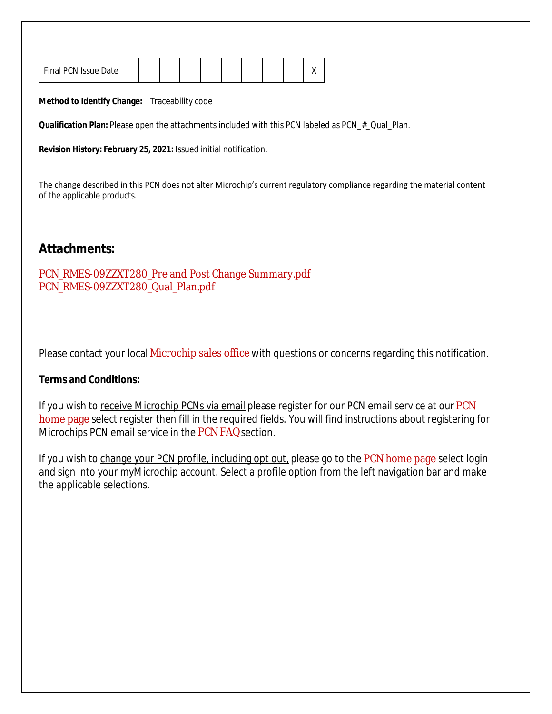| Final PCN Issue Date |  |  |  |  |  |  |  |  |  |  |
|----------------------|--|--|--|--|--|--|--|--|--|--|
|----------------------|--|--|--|--|--|--|--|--|--|--|

**Method to Identify Change:** Traceability code

**Qualification Plan:** Please open the attachments included with this PCN labeled as PCN\_#\_Qual\_Plan.

**Revision History: February 25, 2021:** Issued initial notification.

The change described in this PCN does not alter Microchip's current regulatory compliance regarding the material content of the applicable products.

## **Attachments:**

[PCN\\_RMES-09ZZXT280\\_Pre and Post Change Summary.pdf](https://www.microchip.com/mymicrochipapi/api/pcn/DownloadPcnDocument?pcnId=15367&filename=PCN_RMES-09ZZXT280_Pre and Post Change Summary.pdf) [PCN\\_RMES-09ZZXT280\\_Qual\\_Plan.pdf](https://www.microchip.com/mymicrochipapi/api/pcn/DownloadPcnDocument?pcnId=15367&filename=PCN_RMES-09ZZXT280_Qual_Plan.pdf)

Please contact your local [Microchip sales office](http://www.microchip.com/distributors/SalesHome.aspx) with questions or concerns regarding this notification.

#### **Terms and Conditions:**

If you wish to receive Microchip PCNs via email please register for our [PCN](http://www.microchip.com/pcn) email service at our PCN [home page](http://www.microchip.com/pcn) select register then fill in the required fields. You will find instructions about registering for Microchips PCN email service in the [PCN FAQ](http://www.microchip.com/pcn/faqs) section.

If you wish to change your PCN profile, including opt out, please go to the [PCN home page](http://www.microchip.com/pcn) select login and sign into your myMicrochip account. Select a profile option from the left navigation bar and make the applicable selections.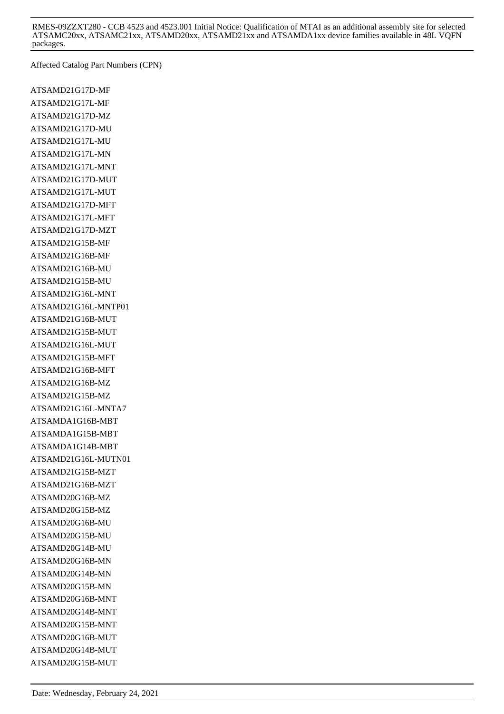RMES-09ZZXT280 - CCB 4523 and 4523.001 Initial Notice: Qualification of MTAI as an additional assembly site for selected ATSAMC20xx, ATSAMC21xx, ATSAMD20xx, ATSAMD21xx and ATSAMDA1xx device families available in 48L VQFN packages.

Affected Catalog Part Numbers (CPN)

ATSAMD21G17D-MF ATSAMD21G17L-MF ATSAMD21G17D-MZ ATSAMD21G17D-MU ATSAMD21G17L-MU ATSAMD21G17L-MN ATSAMD21G17L-MNT ATSAMD21G17D-MUT ATSAMD21G17L-MUT ATSAMD21G17D-MFT ATSAMD21G17L-MFT ATSAMD21G17D-MZT ATSAMD21G15B-MF ATSAMD21G16B-MF ATSAMD21G16B-MU ATSAMD21G15B-MU ATSAMD21G16L-MNT ATSAMD21G16L-MNTP01 ATSAMD21G16B-MUT ATSAMD21G15B-MUT ATSAMD21G16L-MUT ATSAMD21G15B-MFT ATSAMD21G16B-MFT ATSAMD21G16B-MZ ATSAMD21G15B-MZ ATSAMD21G16L-MNTA7 ATSAMDA1G16B-MBT ATSAMDA1G15B-MBT ATSAMDA1G14B-MBT ATSAMD21G16L-MUTN01 ATSAMD21G15B-MZT ATSAMD21G16B-MZT ATSAMD20G16B-MZ ATSAMD20G15B-MZ ATSAMD20G16B-MU ATSAMD20G15B-MU ATSAMD20G14B-MU ATSAMD20G16B-MN ATSAMD20G14B-MN ATSAMD20G15B-MN ATSAMD20G16B-MNT ATSAMD20G14B-MNT ATSAMD20G15B-MNT ATSAMD20G16B-MUT ATSAMD20G14B-MUT ATSAMD20G15B-MUT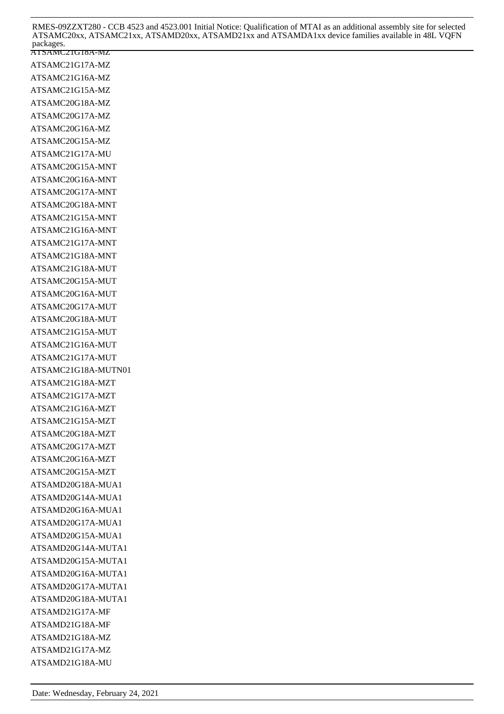| RMES-09ZZXT280 - CCB 4523 and 4523.001 Initial Notice: Qualification of MTAI as an additional assembly site for selected<br>ATSAMC20xx, ATSAMC21xx, ATSAMD20xx, ATSAMD21xx and ATSAMDA1xx device families available in 48L VQFN<br>packages. |
|----------------------------------------------------------------------------------------------------------------------------------------------------------------------------------------------------------------------------------------------|
| AISAMCZIGI8A-MZ                                                                                                                                                                                                                              |
| ATSAMC21G17A-MZ                                                                                                                                                                                                                              |
| ATSAMC21G16A-MZ                                                                                                                                                                                                                              |
| ATSAMC21G15A-MZ                                                                                                                                                                                                                              |
| ATSAMC20G18A-MZ                                                                                                                                                                                                                              |
| ATSAMC20G17A-MZ                                                                                                                                                                                                                              |
| ATSAMC20G16A-MZ                                                                                                                                                                                                                              |
| ATSAMC20G15A-MZ                                                                                                                                                                                                                              |
| ATSAMC21G17A-MU                                                                                                                                                                                                                              |
| ATSAMC20G15A-MNT                                                                                                                                                                                                                             |
| ATSAMC20G16A-MNT                                                                                                                                                                                                                             |
| ATSAMC20G17A-MNT                                                                                                                                                                                                                             |
| ATSAMC20G18A-MNT                                                                                                                                                                                                                             |
| ATSAMC21G15A-MNT                                                                                                                                                                                                                             |
| ATSAMC21G16A-MNT                                                                                                                                                                                                                             |
| ATSAMC21G17A-MNT                                                                                                                                                                                                                             |
| ATSAMC21G18A-MNT                                                                                                                                                                                                                             |
| ATSAMC21G18A-MUT                                                                                                                                                                                                                             |
| ATSAMC20G15A-MUT                                                                                                                                                                                                                             |
| ATSAMC20G16A-MUT                                                                                                                                                                                                                             |
| ATSAMC20G17A-MUT                                                                                                                                                                                                                             |
| ATSAMC20G18A-MUT                                                                                                                                                                                                                             |
| ATSAMC21G15A-MUT                                                                                                                                                                                                                             |
| ATSAMC21G16A-MUT                                                                                                                                                                                                                             |
| ATSAMC21G17A-MUT                                                                                                                                                                                                                             |
| ATSAMC21G18A-MUTN01                                                                                                                                                                                                                          |
| ATSAMC21G18A-MZT                                                                                                                                                                                                                             |
| ATSAMC21G17A-MZT                                                                                                                                                                                                                             |
| ATSAMC21G16A-MZT                                                                                                                                                                                                                             |
| ATSAMC21G15A-MZT                                                                                                                                                                                                                             |
| ATSAMC20G18A-MZT                                                                                                                                                                                                                             |
| ATSAMC20G17A-MZT                                                                                                                                                                                                                             |
| ATSAMC20G16A-MZT                                                                                                                                                                                                                             |
| ATSAMC20G15A-MZT                                                                                                                                                                                                                             |
| ATSAMD20G18A-MUA1                                                                                                                                                                                                                            |
| ATSAMD20G14A-MUA1                                                                                                                                                                                                                            |
| ATSAMD20G16A-MUA1                                                                                                                                                                                                                            |
| ATSAMD20G17A-MUA1                                                                                                                                                                                                                            |
| ATSAMD20G15A-MUA1                                                                                                                                                                                                                            |
| ATSAMD20G14A-MUTA1                                                                                                                                                                                                                           |
| ATSAMD20G15A-MUTA1                                                                                                                                                                                                                           |
| ATSAMD20G16A-MUTA1                                                                                                                                                                                                                           |
| ATSAMD20G17A-MUTA1                                                                                                                                                                                                                           |
| ATSAMD20G18A-MUTA1                                                                                                                                                                                                                           |
| ATSAMD21G17A-MF                                                                                                                                                                                                                              |
| ATSAMD21G18A-MF                                                                                                                                                                                                                              |
| ATSAMD21G18A-MZ                                                                                                                                                                                                                              |
| ATSAMD21G17A-MZ                                                                                                                                                                                                                              |
| ATSAMD21G18A-MU                                                                                                                                                                                                                              |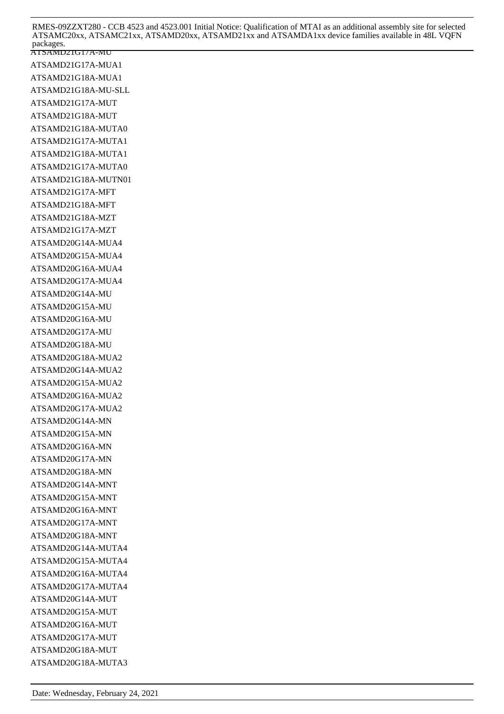ATSAMD21G17A-MU ATSAMD21G17A-MUA1 ATSAMD21G18A-MUA1 ATSAMD21G18A-MU-SLL ATSAMD21G17A-MUT ATSAMD21G18A-MUT ATSAMD21G18A-MUTA0 ATSAMD21G17A-MUTA1 ATSAMD21G18A-MUTA1 ATSAMD21G17A-MUTA0 ATSAMD21G18A-MUTN01 ATSAMD21G17A-MFT ATSAMD21G18A-MFT ATSAMD21G18A-MZT ATSAMD21G17A-MZT ATSAMD20G14A-MUA4 ATSAMD20G15A-MUA4 ATSAMD20G16A-MUA4 ATSAMD20G17A-MUA4 ATSAMD20G14A-MU ATSAMD20G15A-MU ATSAMD20G16A-MU ATSAMD20G17A-MU ATSAMD20G18A-MU ATSAMD20G18A-MUA2 ATSAMD20G14A-MUA2 ATSAMD20G15A-MUA2 ATSAMD20G16A-MUA2 ATSAMD20G17A-MUA2 ATSAMD20G14A-MN ATSAMD20G15A-MN ATSAMD20G16A-MN ATSAMD20G17A-MN ATSAMD20G18A-MN ATSAMD20G14A-MNT ATSAMD20G15A-MNT ATSAMD20G16A-MNT ATSAMD20G17A-MNT ATSAMD20G18A-MNT ATSAMD20G14A-MUTA4 ATSAMD20G15A-MUTA4 ATSAMD20G16A-MUTA4 ATSAMD20G17A-MUTA4 ATSAMD20G14A-MUT ATSAMD20G15A-MUT ATSAMD20G16A-MUT ATSAMD20G17A-MUT ATSAMD20G18A-MUT ATSAMD20G18A-MUTA3 RMES-09ZZXT280 - CCB 4523 and 4523.001 Initial Notice: Qualification of MTAI as an additional assembly site for selected ATSAMC20xx, ATSAMC21xx, ATSAMD20xx, ATSAMD21xx and ATSAMDA1xx device families available in 48L VQFN packages.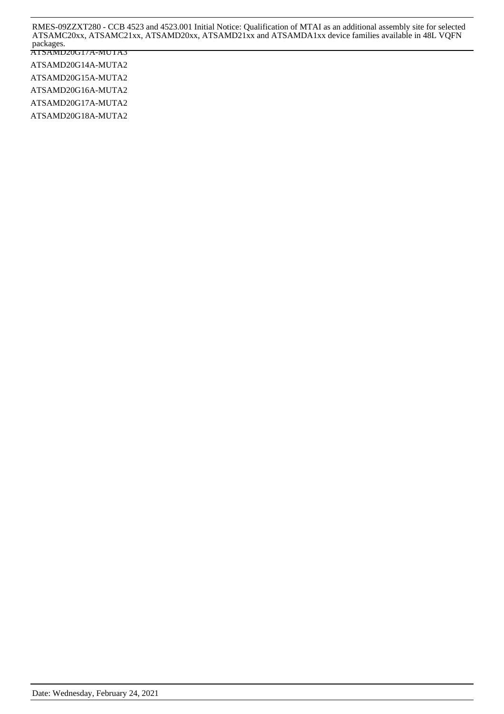ATSAMD20G17A-MUTA3 ATSAMD20G14A-MUTA2 ATSAMD20G15A-MUTA2 ATSAMD20G16A-MUTA2 ATSAMD20G17A-MUTA2 RMES-09ZZXT280 - CCB 4523 and 4523.001 Initial Notice: Qualification of MTAI as an additional assembly site for selected ATSAMC20xx, ATSAMC21xx, ATSAMD20xx, ATSAMD21xx and ATSAMDA1xx device families available in 48L VQFN packages.

ATSAMD20G18A-MUTA2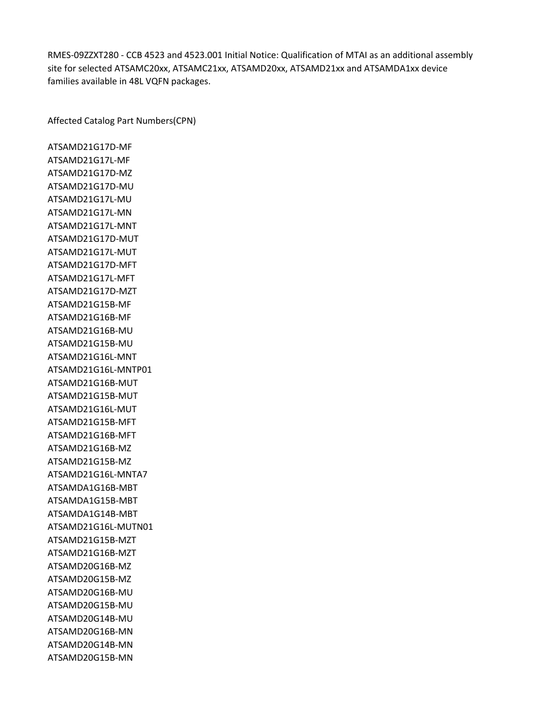RMES-09ZZXT280 - CCB 4523 and 4523.001 Initial Notice: Qualification of MTAI as an additional assembly site for selected ATSAMC20xx, ATSAMC21xx, ATSAMD20xx, ATSAMD21xx and ATSAMDA1xx device families available in 48L VQFN packages.

Affected Catalog Part Numbers(CPN)

ATSAMD21G17D-MF ATSAMD21G17L-MF ATSAMD21G17D-MZ ATSAMD21G17D-MU ATSAMD21G17L-MU ATSAMD21G17L-MN ATSAMD21G17L-MNT ATSAMD21G17D-MUT ATSAMD21G17L-MUT ATSAMD21G17D-MFT ATSAMD21G17L-MFT ATSAMD21G17D-MZT ATSAMD21G15B-MF ATSAMD21G16B-MF ATSAMD21G16B-MU ATSAMD21G15B-MU ATSAMD21G16L-MNT ATSAMD21G16L-MNTP01 ATSAMD21G16B-MUT ATSAMD21G15B-MUT ATSAMD21G16L-MUT ATSAMD21G15B-MFT ATSAMD21G16B-MFT ATSAMD21G16B-MZ ATSAMD21G15B-MZ ATSAMD21G16L-MNTA7 ATSAMDA1G16B-MBT ATSAMDA1G15B-MBT ATSAMDA1G14B-MBT ATSAMD21G16L-MUTN01 ATSAMD21G15B-MZT ATSAMD21G16B-MZT ATSAMD20G16B-MZ ATSAMD20G15B-MZ ATSAMD20G16B-MU ATSAMD20G15B-MU ATSAMD20G14B-MU ATSAMD20G16B-MN ATSAMD20G14B-MN ATSAMD20G15B-MN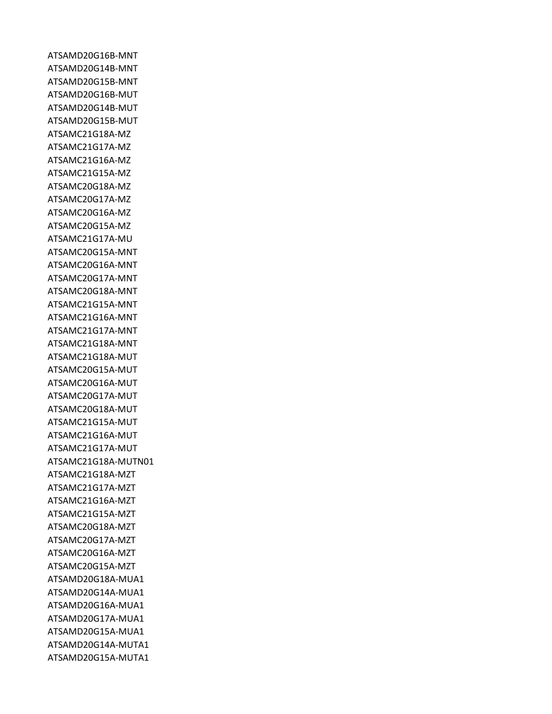ATSAMD20G16B-MNT ATSAMD20G14B-MNT ATSAMD20G15B-MNT ATSAMD20G16B-MUT ATSAMD20G14B-MUT ATSAMD20G15B-MUT ATSAMC21G18A-MZ ATSAMC21G17A-MZ ATSAMC21G16A-MZ ATSAMC21G15A-MZ ATSAMC20G18A-MZ ATSAMC20G17A-MZ ATSAMC20G16A-MZ ATSAMC20G15A-MZ ATSAMC21G17A-MU ATSAMC20G15A-MNT ATSAMC20G16A-MNT ATSAMC20G17A-MNT ATSAMC20G18A-MNT ATSAMC21G15A-MNT ATSAMC21G16A-MNT ATSAMC21G17A-MNT ATSAMC21G18A-MNT ATSAMC21G18A-MUT ATSAMC20G15A-MUT ATSAMC20G16A-MUT ATSAMC20G17A-MUT ATSAMC20G18A-MUT ATSAMC21G15A-MUT ATSAMC21G16A-MUT ATSAMC21G17A-MUT ATSAMC21G18A-MUTN01 ATSAMC21G18A-MZT ATSAMC21G17A-MZT ATSAMC21G16A-MZT ATSAMC21G15A-MZT ATSAMC20G18A-MZT ATSAMC20G17A-MZT ATSAMC20G16A-MZT ATSAMC20G15A-MZT ATSAMD20G18A-MUA1 ATSAMD20G14A-MUA1 ATSAMD20G16A-MUA1 ATSAMD20G17A-MUA1 ATSAMD20G15A-MUA1 ATSAMD20G14A-MUTA1 ATSAMD20G15A-MUTA1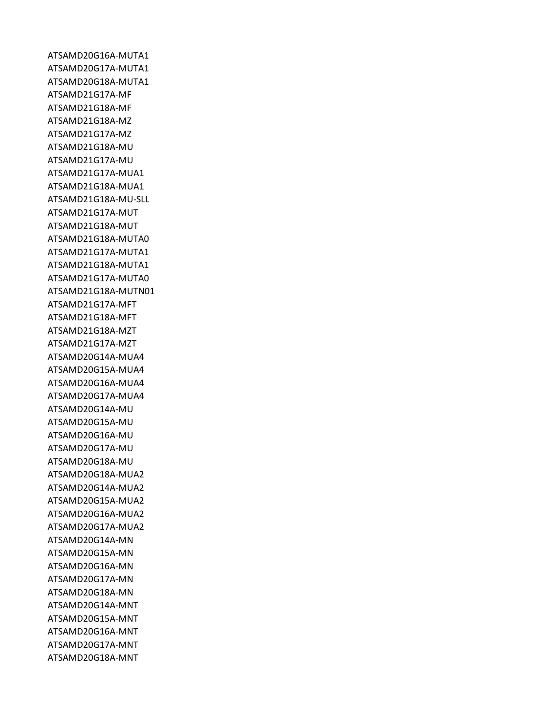ATSAMD20G16A-MUTA1 ATSAMD20G17A-MUTA1 ATSAMD20G18A-MUTA1 ATSAMD21G17A-MF ATSAMD21G18A-MF ATSAMD21G18A-MZ ATSAMD21G17A-MZ ATSAMD21G18A-MU ATSAMD21G17A-MU ATSAMD21G17A-MUA1 ATSAMD21G18A-MUA1 ATSAMD21G18A-MU-SLL ATSAMD21G17A-MUT ATSAMD21G18A-MUT ATSAMD21G18A-MUTA0 ATSAMD21G17A-MUTA1 ATSAMD21G18A-MUTA1 ATSAMD21G17A-MUTA0 ATSAMD21G18A-MUTN01 ATSAMD21G17A-MFT ATSAMD21G18A-MFT ATSAMD21G18A-MZT ATSAMD21G17A-MZT ATSAMD20G14A-MUA4 ATSAMD20G15A-MUA4 ATSAMD20G16A-MUA4 ATSAMD20G17A-MUA4 ATSAMD20G14A-MU ATSAMD20G15A-MU ATSAMD20G16A-MU ATSAMD20G17A-MU ATSAMD20G18A-MU ATSAMD20G18A-MUA2 ATSAMD20G14A-MUA2 ATSAMD20G15A-MUA2 ATSAMD20G16A-MUA2 ATSAMD20G17A-MUA2 ATSAMD20G14A-MN ATSAMD20G15A-MN ATSAMD20G16A-MN ATSAMD20G17A-MN ATSAMD20G18A-MN ATSAMD20G14A-MNT ATSAMD20G15A-MNT ATSAMD20G16A-MNT ATSAMD20G17A-MNT ATSAMD20G18A-MNT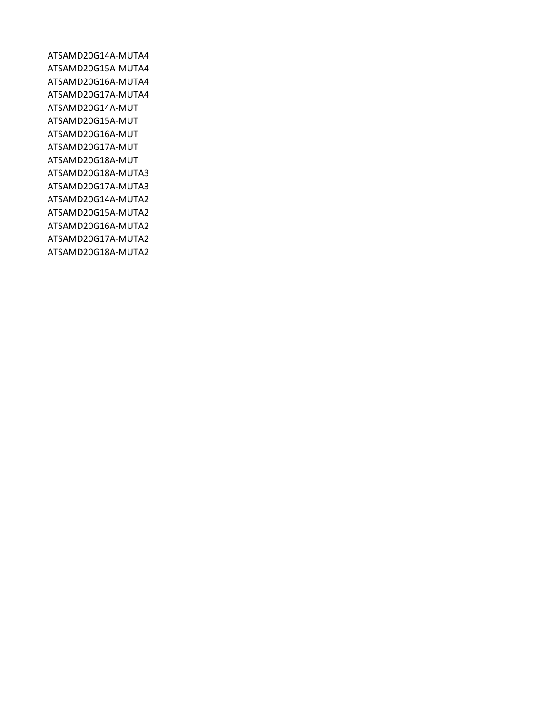ATSAMD20G14A-MUTA4 ATSAMD20G15A-MUTA4 ATSAMD20G16A-MUTA4 ATSAMD20G17A-MUTA4 ATSAMD20G14A-MUT ATSAMD20G15A-MUT ATSAMD20G16A-MUT ATSAMD20G17A-MUT ATSAMD20G18A-MUT ATSAMD20G18A-MUTA3 ATSAMD20G17A-MUTA3 ATSAMD20G14A-MUTA2 ATSAMD20G15A-MUTA2 ATSAMD20G16A-MUTA2 ATSAMD20G17A-MUTA2 ATSAMD20G18A-MUTA2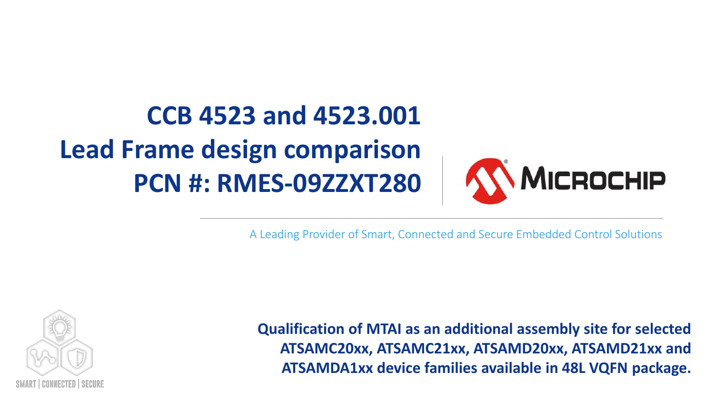# **CCB 4523 and 4523.001 Lead Frame design comparison PCN #: RMES-09ZZXT280**



A Leading Provider of Smart, Connected and Secure Embedded Control Solutions



**Qualification of MTAI as an additional assembly site for selected ATSAMC20xx, ATSAMC21xx, ATSAMD20xx, ATSAMD21xx and ATSAMDA1xx device families available in 48L VQFN package.**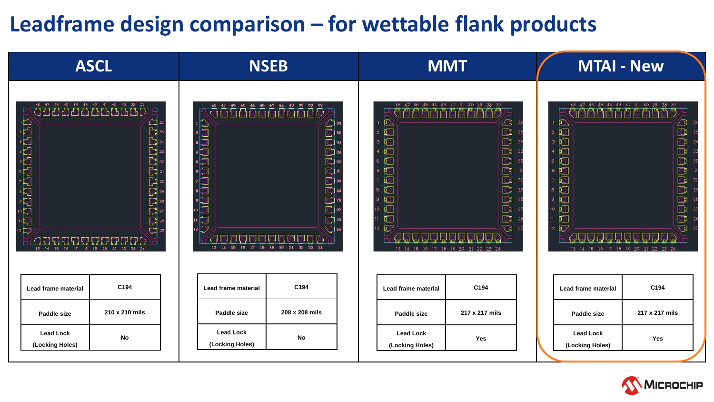## **Leadframe design comparison – for wettable flank products**

| <b>ASCL</b>                                                                                                                             |                       |                                                                 | <b>NSEB</b>                                                  |                                                                  | <b>MMT</b>                                                                                                                                                         | <b>MTAI - New</b>                                                                                                 |                                                                  |
|-----------------------------------------------------------------------------------------------------------------------------------------|-----------------------|-----------------------------------------------------------------|--------------------------------------------------------------|------------------------------------------------------------------|--------------------------------------------------------------------------------------------------------------------------------------------------------------------|-------------------------------------------------------------------------------------------------------------------|------------------------------------------------------------------|
| 48 47 46 45 44 43 42 41 40 39 38 37<br><b>STATATO MTATATO TATAT</b><br>បុជ្ជក្នុងជ្រុងជ្នុងជ្នុង<br>13 14 15 16 17 18 18 20 21 22 23 24 | $\triangle$<br>$\Box$ | 48 47 48<br>aaaaaaaaaaaa<br>13 14 15 16 17 18 19 20 21 22 23 24 | <b>拓 44 45 42 41 40 59 38 37</b><br>0000000000<br>oooooooooo | 00000<br>$\overline{\mathbb{D}}$<br>$\overline{\mathbb{D}}$<br>刁 | 48 47 46 45 44 43 42 41 40 39 38 37<br>卫<br>ت⊠<br>G<br>$\overline{\mathbf{G}}$<br>0000<br>$\Box$<br>$\overline{\mathbb{G}}$<br>13 14 15 16 17 18 19 20 21 22 23 24 | 48 47 46 45 44 43 42 41 40 39 38<br>⊵<br>8888888<br>$\circ$<br>⊡<br>þ<br>D<br>13 14 15 16 17 18 19 20 21 22 23 24 | ∠⊒<br>回<br>$\Box$<br>88888<br>G<br>ित<br>$\overline{\mathbb{G}}$ |
| Lead frame material                                                                                                                     | C194                  | Lead frame material                                             | C194                                                         | <b>Lead frame material</b>                                       | C194                                                                                                                                                               | <b>Lead frame material</b>                                                                                        | C194                                                             |
| Paddle size                                                                                                                             | 210 x 210 mils        | Paddle size                                                     | 208 x 208 mils                                               | Paddle size                                                      | 217 x 217 mils                                                                                                                                                     | Paddle size                                                                                                       | 217 x 217 mils                                                   |
| <b>Lead Lock</b><br>(Locking Holes)                                                                                                     | No                    | <b>Lead Lock</b><br>(Locking Holes)                             | No                                                           | <b>Lead Lock</b><br>(Locking Holes)                              | Yes                                                                                                                                                                | <b>Lead Lock</b><br>(Locking Holes)                                                                               | Yes                                                              |

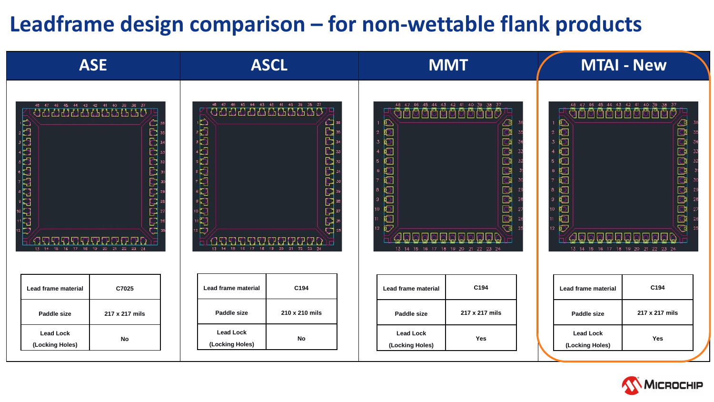## **Leadframe design comparison – for non-wettable flank products**

|                                                                                                                                | <b>ASE</b>                |                                                                                              | <b>ASCL</b>                                   |                                                   | <b>MMT</b>                                                                                                                                                                                                                                |                                                                              | <b>MTAI - New</b>                                                                                |
|--------------------------------------------------------------------------------------------------------------------------------|---------------------------|----------------------------------------------------------------------------------------------|-----------------------------------------------|---------------------------------------------------|-------------------------------------------------------------------------------------------------------------------------------------------------------------------------------------------------------------------------------------------|------------------------------------------------------------------------------|--------------------------------------------------------------------------------------------------|
| 48 47 46 45 44 43 42 41 40 38 38 37<br>,,,,,,,,,,,,,,,,<br>ë se e e a a a e tre të maj.<br>13 14 15 16 17 18 19 20 21 22 23 24 | 겁.<br><b>100000000000</b> | 48 47<br>44 43 42<br>45.<br>D<br><u>uddddau ac ym</u><br>13 14 15 16 17 18 18 20 21 22 23 24 | 40 39 38 37<br>$-41$<br><b>Bratara branch</b> | 48 47 46 45 44 43 42 41 40 39<br>⊵<br>10000000000 | $-38 - 37$<br>O<br>⇙<br>िन<br>$\overline{\mathsf{G}}$<br>$\overline{G}$<br>$\Box$<br>$\mathbb{C}$<br>$\overline{\mathbb{C}}$<br>$\Box$<br>$\Box$<br>$\overline{C}$<br>ि<br>$\overline{\mathbb{C}}$<br>13 14 15 16 17 18 19 20 21 22 23 24 | 48 47 46 45 44 43 42 41 40 39<br>⊵<br>0000000<br>o<br>Oo<br>$\overline{\nu}$ | $-38 - 3$<br>∠<br>8888888888<br>$\mathbb{C}^{\mathbb{I}}$<br>13 14 15 16 17 18 19 20 21 22 23 24 |
| Lead frame material                                                                                                            | C7025                     | <b>Lead frame material</b>                                                                   | C194                                          | Lead frame material                               | C194                                                                                                                                                                                                                                      | Lead frame material                                                          | C194                                                                                             |
| Paddle size                                                                                                                    | 217 x 217 mils            | Paddle size                                                                                  | 210 x 210 mils                                | Paddle size                                       | 217 x 217 mils                                                                                                                                                                                                                            | Paddle size                                                                  | 217 x 217 mils                                                                                   |
| <b>Lead Lock</b><br>(Locking Holes)                                                                                            | No                        | <b>Lead Lock</b><br>(Locking Holes)                                                          | No                                            | <b>Lead Lock</b><br>(Locking Holes)               | Yes                                                                                                                                                                                                                                       | <b>Lead Lock</b><br>(Locking Holes)                                          | Yes                                                                                              |

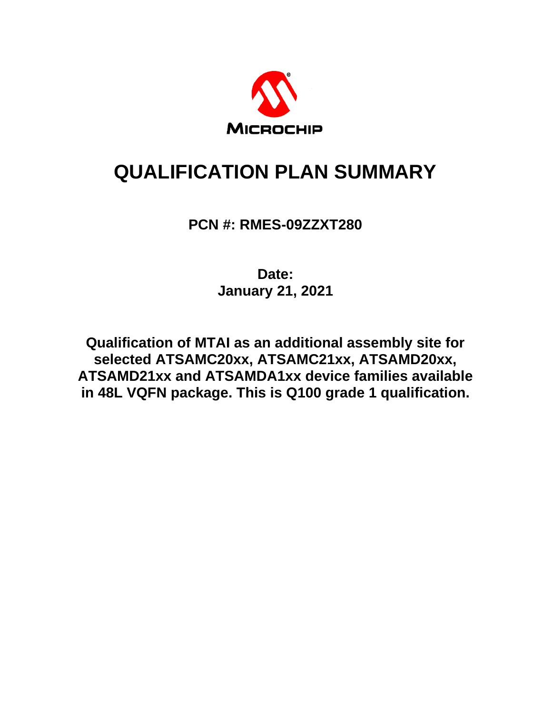

## **QUALIFICATION PLAN SUMMARY**

## **PCN #: RMES-09ZZXT280**

**Date: January 21, 2021**

**Qualification of MTAI as an additional assembly site for selected ATSAMC20xx, ATSAMC21xx, ATSAMD20xx, ATSAMD21xx and ATSAMDA1xx device families available in 48L VQFN package. This is Q100 grade 1 qualification.**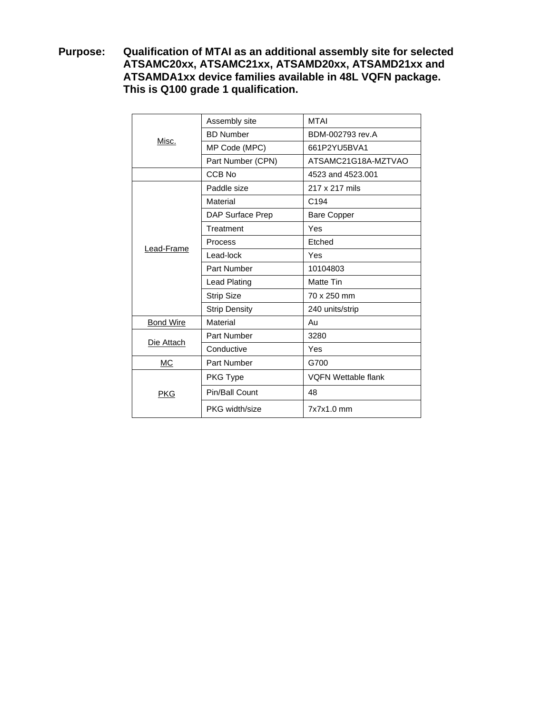**Purpose: Qualification of MTAI as an additional assembly site for selected ATSAMC20xx, ATSAMC21xx, ATSAMD20xx, ATSAMD21xx and ATSAMDA1xx device families available in 48L VQFN package. This is Q100 grade 1 qualification.**

| Assembly site        | <b>MTAI</b>                |  |  |  |  |
|----------------------|----------------------------|--|--|--|--|
| <b>BD Number</b>     | BDM-002793 rev.A           |  |  |  |  |
| MP Code (MPC)        | 661P2YU5BVA1               |  |  |  |  |
| Part Number (CPN)    | ATSAMC21G18A-MZTVAO        |  |  |  |  |
| CCB <sub>No</sub>    | 4523 and 4523.001          |  |  |  |  |
| Paddle size          | 217 x 217 mils             |  |  |  |  |
| Material             | C <sub>194</sub>           |  |  |  |  |
| DAP Surface Prep     | <b>Bare Copper</b>         |  |  |  |  |
| Treatment            | Yes                        |  |  |  |  |
| Process              | Etched                     |  |  |  |  |
| Lead-lock            | Yes                        |  |  |  |  |
| Part Number          | 10104803                   |  |  |  |  |
| <b>Lead Plating</b>  | Matte Tin                  |  |  |  |  |
| <b>Strip Size</b>    | 70 x 250 mm                |  |  |  |  |
| <b>Strip Density</b> | 240 units/strip            |  |  |  |  |
| Material             | Au                         |  |  |  |  |
| Part Number          | 3280                       |  |  |  |  |
| Conductive           | Yes                        |  |  |  |  |
| Part Number          | G700                       |  |  |  |  |
| <b>PKG Type</b>      | <b>VQFN Wettable flank</b> |  |  |  |  |
| Pin/Ball Count       | 48                         |  |  |  |  |
| PKG width/size       | 7x7x1.0 mm                 |  |  |  |  |
|                      |                            |  |  |  |  |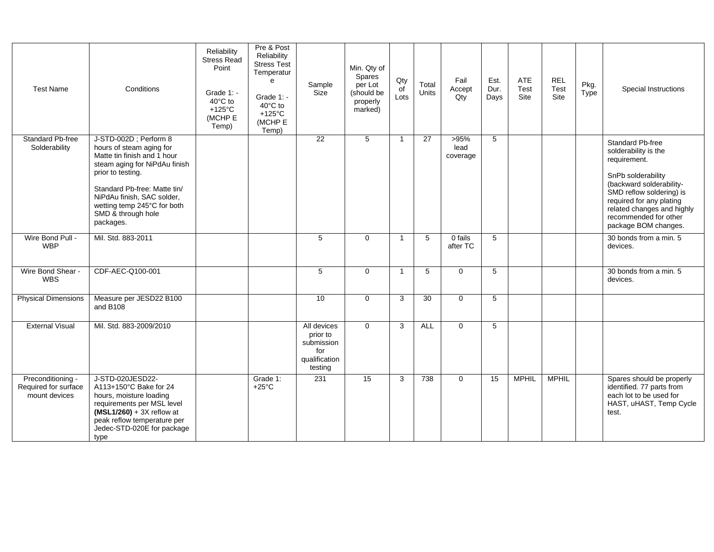| <b>Test Name</b>                                           | Conditions                                                                                                                                                                                                                                                             | Reliability<br><b>Stress Read</b><br>Point<br>Grade 1: -<br>$40^{\circ}$ C to<br>$+125^{\circ}$ C<br>(MCHP E<br>Temp) | Pre & Post<br>Reliability<br><b>Stress Test</b><br>Temperatur<br>e<br>Grade 1: -<br>40°C to<br>$+125^{\circ}$ C<br>(MCHP E<br>Temp) | Sample<br>Size                                                           | Min. Qtv of<br>Spares<br>per Lot<br>(should be<br>properly<br>marked) | Qty<br>of<br>Lots | Total<br>Units  | Fail<br>Accept<br>Qty    | Est.<br>Dur.<br>Days | ATE<br>Test<br>Site | <b>REL</b><br>Test<br>Site | Pkg.<br>Type | Special Instructions                                                                                                                                                                                                                              |
|------------------------------------------------------------|------------------------------------------------------------------------------------------------------------------------------------------------------------------------------------------------------------------------------------------------------------------------|-----------------------------------------------------------------------------------------------------------------------|-------------------------------------------------------------------------------------------------------------------------------------|--------------------------------------------------------------------------|-----------------------------------------------------------------------|-------------------|-----------------|--------------------------|----------------------|---------------------|----------------------------|--------------|---------------------------------------------------------------------------------------------------------------------------------------------------------------------------------------------------------------------------------------------------|
| <b>Standard Pb-free</b><br>Solderability                   | J-STD-002D; Perform 8<br>hours of steam aging for<br>Matte tin finish and 1 hour<br>steam aging for NiPdAu finish<br>prior to testing.<br>Standard Pb-free: Matte tin/<br>NiPdAu finish, SAC solder,<br>wetting temp 245°C for both<br>SMD & through hole<br>packages. |                                                                                                                       |                                                                                                                                     | $\overline{22}$                                                          | 5                                                                     | $\mathbf{1}$      | $\overline{27}$ | >95%<br>lead<br>coverage | 5                    |                     |                            |              | Standard Pb-free<br>solderability is the<br>requirement.<br>SnPb solderability<br>(backward solderability-<br>SMD reflow soldering) is<br>required for any plating<br>related changes and highly<br>recommended for other<br>package BOM changes. |
| Wire Bond Pull -<br><b>WBP</b>                             | Mil. Std. 883-2011                                                                                                                                                                                                                                                     |                                                                                                                       |                                                                                                                                     | 5                                                                        | $\mathbf 0$                                                           | $\mathbf{1}$      | 5               | $0$ fails<br>after TC    | 5                    |                     |                            |              | 30 bonds from a min. 5<br>devices.                                                                                                                                                                                                                |
| Wire Bond Shear -<br><b>WBS</b>                            | CDF-AEC-Q100-001                                                                                                                                                                                                                                                       |                                                                                                                       |                                                                                                                                     | $5\phantom{.0}$                                                          | $\mathbf 0$                                                           | $\mathbf{1}$      | 5               | $\mathbf 0$              | 5                    |                     |                            |              | 30 bonds from a min. 5<br>devices.                                                                                                                                                                                                                |
| <b>Physical Dimensions</b>                                 | Measure per JESD22 B100<br>and B108                                                                                                                                                                                                                                    |                                                                                                                       |                                                                                                                                     | 10                                                                       | $\mathbf 0$                                                           | 3                 | $\overline{30}$ | $\mathbf 0$              | 5                    |                     |                            |              |                                                                                                                                                                                                                                                   |
| <b>External Visual</b>                                     | Mil. Std. 883-2009/2010                                                                                                                                                                                                                                                |                                                                                                                       |                                                                                                                                     | All devices<br>prior to<br>submission<br>for<br>qualification<br>testing | $\mathbf 0$                                                           | 3                 | <b>ALL</b>      | $\Omega$                 | $\overline{5}$       |                     |                            |              |                                                                                                                                                                                                                                                   |
| Preconditioning -<br>Required for surface<br>mount devices | J-STD-020JESD22-<br>A113+150°C Bake for 24<br>hours, moisture loading<br>requirements per MSL level<br>$(MSL1/260) + 3X$ reflow at<br>peak reflow temperature per<br>Jedec-STD-020E for package<br>type                                                                |                                                                                                                       | Grade 1:<br>$+25^{\circ}$ C                                                                                                         | 231                                                                      | $\overline{15}$                                                       | 3                 | 738             | $\Omega$                 | $\overline{15}$      | <b>MPHIL</b>        | <b>MPHIL</b>               |              | Spares should be properly<br>identified. 77 parts from<br>each lot to be used for<br>HAST, uHAST, Temp Cycle<br>test.                                                                                                                             |